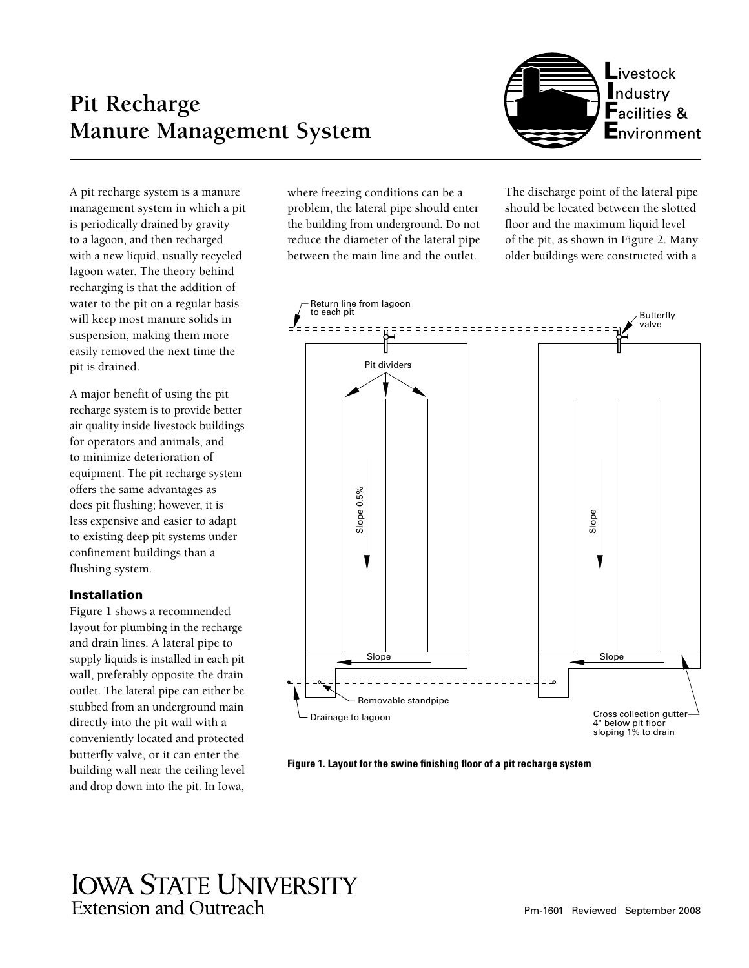# **Pit Recharge Manure Management System**



A pit recharge system is a manure management system in which a pit is periodically drained by gravity to a lagoon, and then recharged with a new liquid, usually recycled lagoon water. The theory behind recharging is that the addition of water to the pit on a regular basis will keep most manure solids in suspension, making them more easily removed the next time the pit is drained.

A major benefit of using the pit recharge system is to provide better air quality inside livestock buildings for operators and animals, and to minimize deterioration of equipment. The pit recharge system offers the same advantages as does pit flushing; however, it is less expensive and easier to adapt to existing deep pit systems under confinement buildings than a flushing system.

## Installation

Figure 1 shows a recommended layout for plumbing in the recharge and drain lines. A lateral pipe to supply liquids is installed in each pit wall, preferably opposite the drain outlet. The lateral pipe can either be stubbed from an underground main directly into the pit wall with a conveniently located and protected butterfly valve, or it can enter the building wall near the ceiling level and drop down into the pit. In Iowa,

where freezing conditions can be a problem, the lateral pipe should enter the building from underground. Do not reduce the diameter of the lateral pipe between the main line and the outlet.

The discharge point of the lateral pipe should be located between the slotted floor and the maximum liquid level of the pit, as shown in Figure 2. Many older buildings were constructed with a



**Figure 1. Layout for the swine finishing floor of a pit recharge system**

## **IOWA STATE UNIVERSITY Extension and Outreach**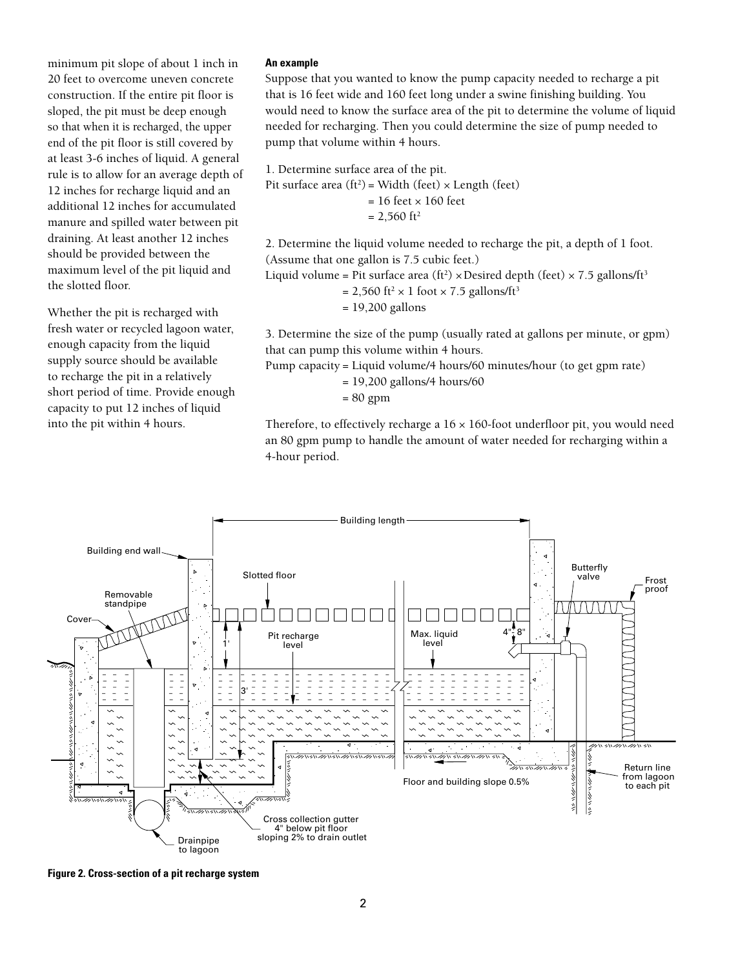minimum pit slope of about 1 inch in 20 feet to overcome uneven concrete construction. If the entire pit floor is sloped, the pit must be deep enough so that when it is recharged, the upper end of the pit floor is still covered by at least 3-6 inches of liquid. A general rule is to allow for an average depth of 12 inches for recharge liquid and an additional 12 inches for accumulated manure and spilled water between pit draining. At least another 12 inches should be provided between the maximum level of the pit liquid and the slotted floor.

Whether the pit is recharged with fresh water or recycled lagoon water, enough capacity from the liquid supply source should be available to recharge the pit in a relatively short period of time. Provide enough capacity to put 12 inches of liquid into the pit within 4 hours.

#### **An example**

Suppose that you wanted to know the pump capacity needed to recharge a pit that is 16 feet wide and 160 feet long under a swine finishing building. You would need to know the surface area of the pit to determine the volume of liquid needed for recharging. Then you could determine the size of pump needed to pump that volume within 4 hours.

1. Determine surface area of the pit.

Pit surface area  $(ft^2)$  = Width (feet)  $\times$  Length (feet)

 $= 16$  feet  $\times 160$  feet

 $= 2,560$  ft<sup>2</sup>

2. Determine the liquid volume needed to recharge the pit, a depth of 1 foot. (Assume that one gallon is 7.5 cubic feet.)

Liquid volume = Pit surface area (ft<sup>2</sup>)  $\times$  Desired depth (feet)  $\times$  7.5 gallons/ft<sup>3</sup>

= 2,560 ft<sup>2</sup>  $\times$  1 foot  $\times$  7.5 gallons/ft<sup>3</sup>

= 19,200 gallons

3. Determine the size of the pump (usually rated at gallons per minute, or gpm) that can pump this volume within 4 hours.

Pump capacity = Liquid volume/4 hours/60 minutes/hour (to get gpm rate)

= 19,200 gallons/4 hours/60

= 80 gpm

Therefore, to effectively recharge a  $16 \times 160$ -foot underfloor pit, you would need an 80 gpm pump to handle the amount of water needed for recharging within a 4-hour period.



**Figure 2. Cross-section of a pit recharge system**